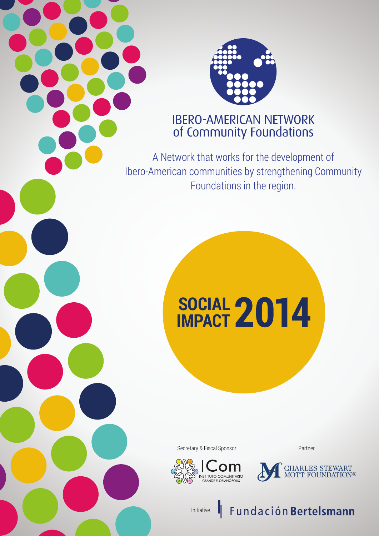

# **IBERO-AMERICAN NETWORK** of Community Foundations

A Network that works for the development of Ibero-American communities by strengthening Community Foundations in the region.

# **SOCIAL IMPACT**

Secretary & Fiscal Sponsor **Partner** 

om

INSTITUTO COMUNITÁRIO<br>GRANDE FLORIANÓPOLIS



Initiative

Fundación Bertelsmann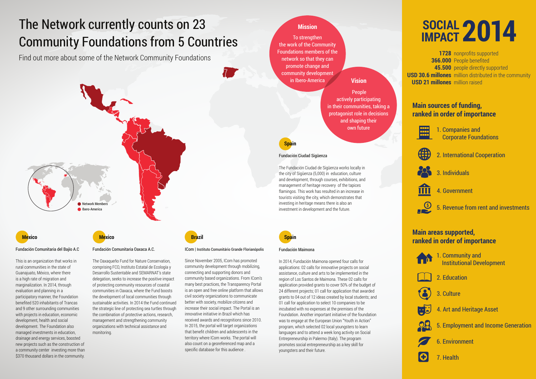# The Network currently counts on 23 Community Foundations from 5 Countries

This is an organization that works in rural communities in the state of Guanajuato, México, where there is a high rate of migration and marginalization. In 2014, through evaluation and planning in a participatory manner, the Foundation benefited 520 inhabitants of Trancas and 9 other surrounding communities with projects in education, economic development, health and social development. The Foundation also managed investments in education, drainage and energy services, boosted new projects such as the construction of a community center investing more than \$370 thousand dollars in the community.

Find out more about some of the Network Community Foundations

#### Fundación Comunitaria del Bajío A.C

#### ICom | Instituto Comunitário Grande Florianópolis

Since November 2005, ICom has promoted community development through mobilizing, connecting and supporting donors and community based organizations. From ICom's many best practices, the Transparency Portal is an open and free online platform that allows civil society organizations to communicate better with society, mobilize citizens and increase their social impact. The Portal is an innovative initiative in Brazil which has received awards and recognitions since 2010. In 2015, the portal will target organizations that benefit children and adolescents in the territory where ICom works. The portal will also count on a georeferenced map and a specific database for this audience .

#### Fundación Ciudad Sigüenza

The Fundación Ciudad de Sigüenza works locally in the city of Sigüenza (5,000) in education, culture and development, through courses, exhibitions, and management of heritage recovery of the tapices flamingos. This work has resulted in an increase in tourists visiting the city, which demonstrates that investing in heritage means there is also an investment in development and the future.



#### Fundación Comunitaria Oaxaca A.C.

The Oaxaqueño Fund for Nature Conservation, comprising FCO, Instituto Estatal de Ecología y Desarrollo Sustentable and SEMARNAT's state delegation, seeks to increase the positive impact of protecting community resources of coastal communities in Oaxaca, where the Fund boosts the development of local communities through sustainable activities. In 2014 the Fund continued the strategic line of protecting sea turtles through the combination of protective actions, research, management and strengthening community organizations with technical assistance and monitoring.

## **Mexico Mexico Brazil Spain**



#### Fundación Maimona

In 2014, Fundación Maimona opened four calls for applications: 02 calls for innovative projects on social assistance, culture and arts to be implemented in the region of Los Santos de Maimona. These 02 calls for application provided grants to cover 50% of the budget of 24 different projects; 01 call for application that awarded grants to 04 out of 12 ideas created by local students; and 01 call for application to select 10 companies to be incubated with no expenses at the premises of the Foundation. Another important initiative of the foundation was to engage at the European Union "Youth in Action" program, which selected 02 local youngsters to learn languages and to attend a week long activity on Social Entrepreneurship in Palermo (Italy). The program promotes social entrepreneurship as a key skill for youngsters and their future.

To strengthen the work of the Community Foundations members of the network so that they can promote change and community development in Ibero-America

#### **Mission**

 People actively participating in their communities, taking a protagonist role in decisions and shaping their own future

#### **Vision**



**1728** nonprofits supported **366.000** People benefited **45.500** people directly supported **USD 30.6 millones** million distributed in the community **USD 21 millones** million raised

# **SOCIAL IMPACT**

## **Main areas supported, ranked in order of importance**



2. Education



3. Culture



4. Art and Heritage Asset



5. Employment and Income Generation



6. Environment



7. Health

1. Community and Institutional Development



## **Main sources of funding, ranked in order of importance**

- 
- 1. Companies and Corporate Foundations



2. International Cooperation



3. Individuals



- 4. Government
- 5. Revenue from rent and investments